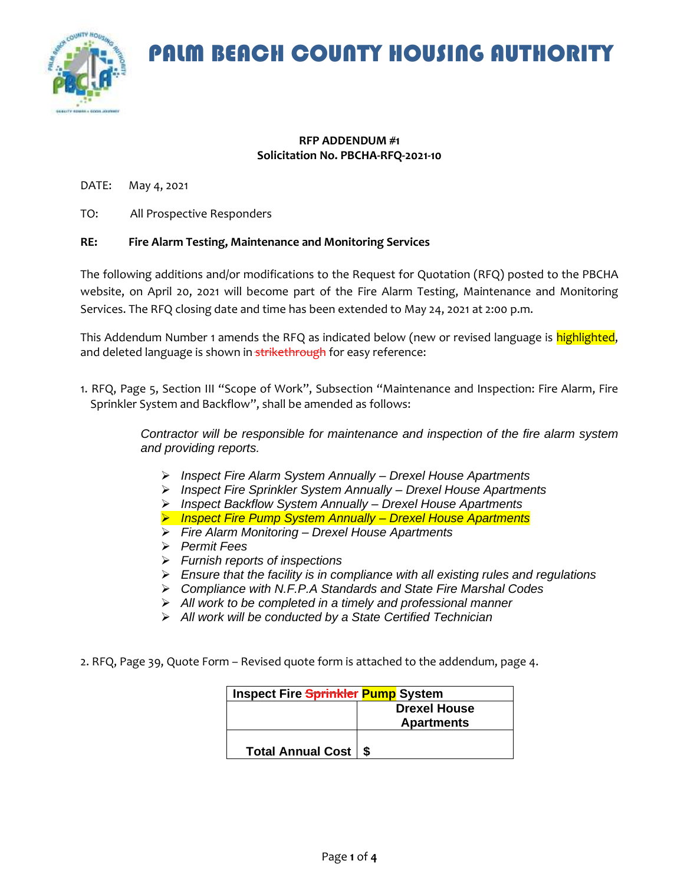PALM BEACH COUNTY HOUSING AUTHORITY



#### **RFP ADDENDUM #1 Solicitation No. PBCHA-RFQ-2021-10**

DATE: May 4, 2021

TO: All Prospective Responders

### **RE: Fire Alarm Testing, Maintenance and Monitoring Services**

The following additions and/or modifications to the Request for Quotation (RFQ) posted to the PBCHA website, on April 20, 2021 will become part of the Fire Alarm Testing, Maintenance and Monitoring Services. The RFQ closing date and time has been extended to May 24, 2021 at 2:00 p.m.

This Addendum Number 1 amends the RFQ as indicated below (new or revised language is highlighted, and deleted language is shown in strikethrough for easy reference:

1. RFQ, Page 5, Section III "Scope of Work", Subsection "Maintenance and Inspection: Fire Alarm, Fire Sprinkler System and Backflow", shall be amended as follows:

> *Contractor will be responsible for maintenance and inspection of the fire alarm system and providing reports.*

- ➢ *Inspect Fire Alarm System Annually – Drexel House Apartments*
- ➢ *Inspect Fire Sprinkler System Annually – Drexel House Apartments*
- ➢ *Inspect Backflow System Annually – Drexel House Apartments*
- ➢ *Inspect Fire Pump System Annually – Drexel House Apartments*
- ➢ *Fire Alarm Monitoring – Drexel House Apartments*
- ➢ *Permit Fees*
- ➢ *Furnish reports of inspections*
- ➢ *Ensure that the facility is in compliance with all existing rules and regulations*
- ➢ *Compliance with N.F.P.A Standards and State Fire Marshal Codes*
- ➢ *All work to be completed in a timely and professional manner*
- ➢ *All work will be conducted by a State Certified Technician*
- 2. RFQ, Page 39, Quote Form Revised quote form is attached to the addendum, page 4.

| <b>Inspect Fire Sprinkler Pump System</b> |                     |  |
|-------------------------------------------|---------------------|--|
|                                           | <b>Drexel House</b> |  |
|                                           | <b>Apartments</b>   |  |
| <b>Total Annual Cost</b>                  |                     |  |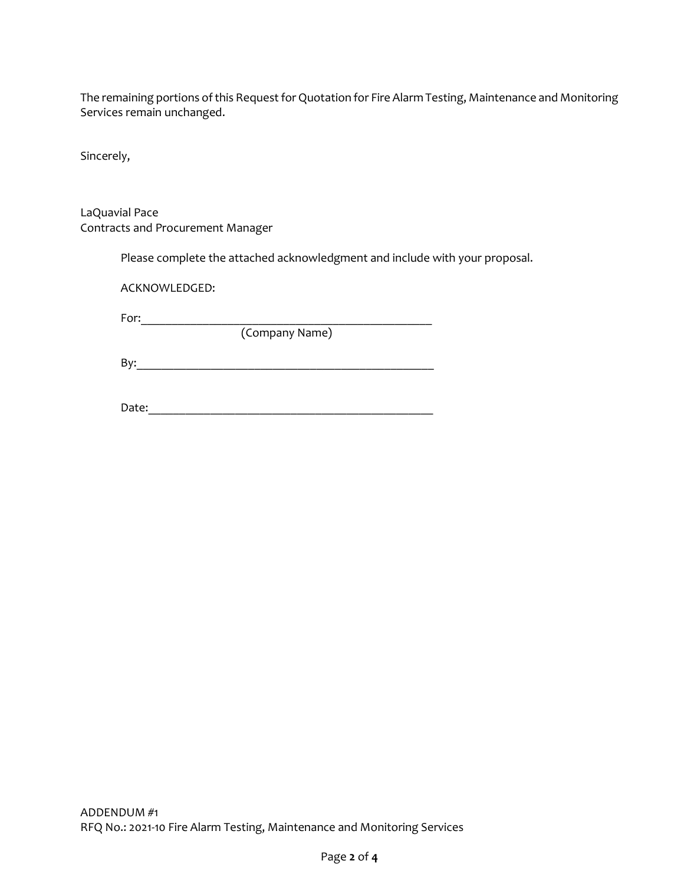The remaining portions of this Request for Quotation for Fire Alarm Testing, Maintenance and Monitoring Services remain unchanged.

Sincerely,

LaQuavial Pace Contracts and Procurement Manager

Please complete the attached acknowledgment and include with your proposal.

ACKNOWLEDGED:

For:\_\_\_\_\_\_\_\_\_\_\_\_\_\_\_\_\_\_\_\_\_\_\_\_\_\_\_\_\_\_\_\_\_\_\_\_\_\_\_\_\_\_\_\_\_\_\_

(Company Name)

By:\_\_\_\_\_\_\_\_\_\_\_\_\_\_\_\_\_\_\_\_\_\_\_\_\_\_\_\_\_\_\_\_\_\_\_\_\_\_\_\_\_\_\_\_\_\_\_\_

Date:\_\_\_\_\_\_\_\_\_\_\_\_\_\_\_\_\_\_\_\_\_\_\_\_\_\_\_\_\_\_\_\_\_\_\_\_\_\_\_\_\_\_\_\_\_\_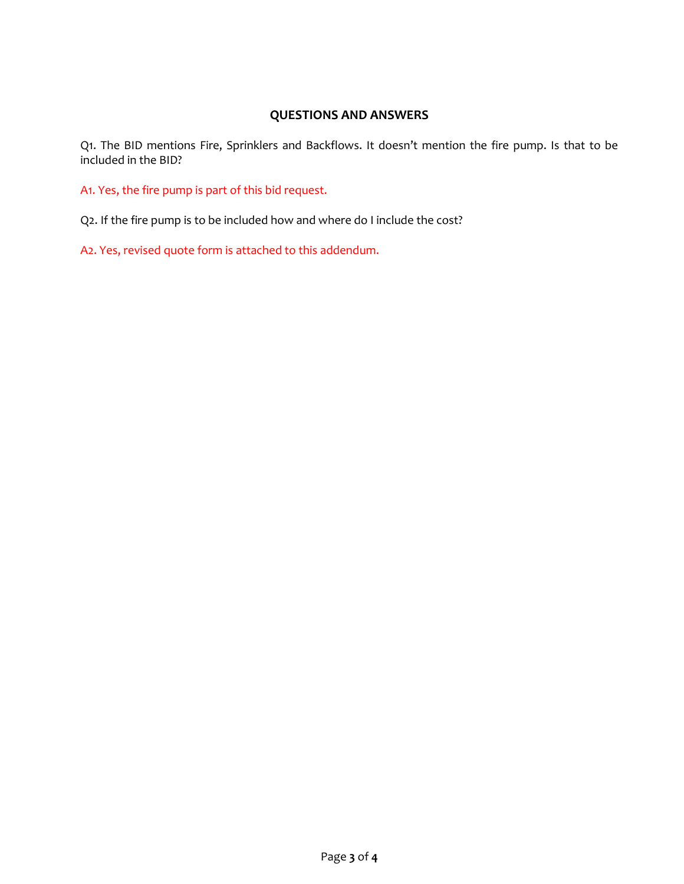# **QUESTIONS AND ANSWERS**

Q1. The BID mentions Fire, Sprinklers and Backflows. It doesn't mention the fire pump. Is that to be included in the BID?

A1. Yes, the fire pump is part of this bid request.

Q2. If the fire pump is to be included how and where do I include the cost?

A2. Yes, revised quote form is attached to this addendum.